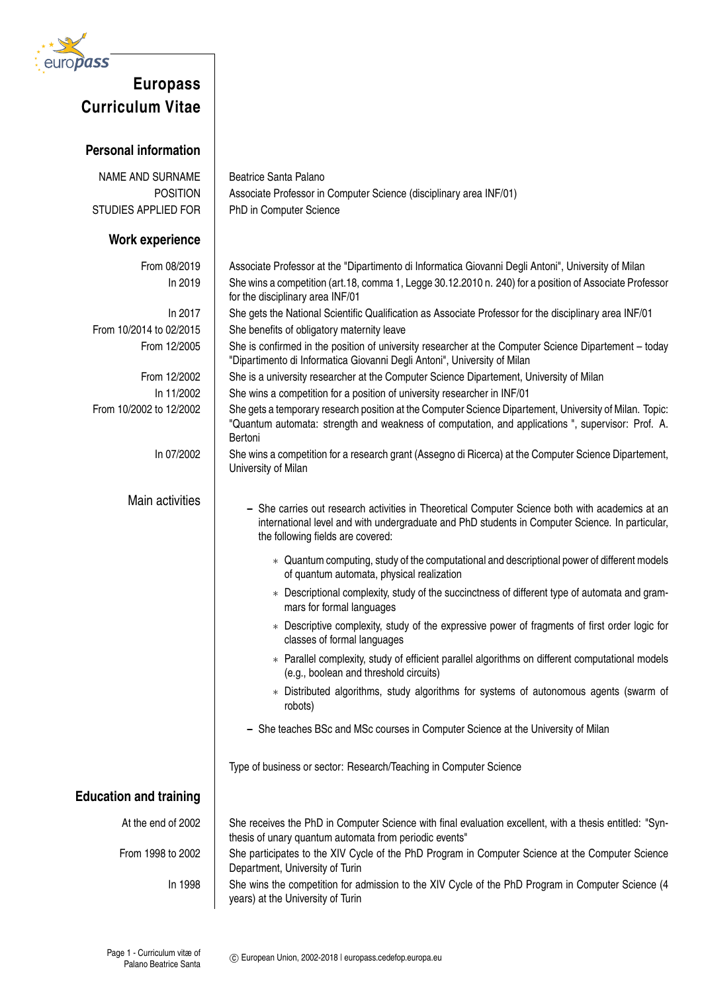

## **Europass Curriculum Vitae**

## **Personal information**

| <b>NAME AND SURNAME</b>       | Beatrice Santa Palano                                                                                                                                                                                                                                                                                                                                                                                                                                                                                                                                                                                                                                                                                                                                                                                                                                                                                                                                                                  |
|-------------------------------|----------------------------------------------------------------------------------------------------------------------------------------------------------------------------------------------------------------------------------------------------------------------------------------------------------------------------------------------------------------------------------------------------------------------------------------------------------------------------------------------------------------------------------------------------------------------------------------------------------------------------------------------------------------------------------------------------------------------------------------------------------------------------------------------------------------------------------------------------------------------------------------------------------------------------------------------------------------------------------------|
| <b>POSITION</b>               | Associate Professor in Computer Science (disciplinary area INF/01)                                                                                                                                                                                                                                                                                                                                                                                                                                                                                                                                                                                                                                                                                                                                                                                                                                                                                                                     |
| STUDIES APPLIED FOR           | PhD in Computer Science                                                                                                                                                                                                                                                                                                                                                                                                                                                                                                                                                                                                                                                                                                                                                                                                                                                                                                                                                                |
| <b>Work experience</b>        |                                                                                                                                                                                                                                                                                                                                                                                                                                                                                                                                                                                                                                                                                                                                                                                                                                                                                                                                                                                        |
| From 08/2019<br>In 2019       | Associate Professor at the "Dipartimento di Informatica Giovanni Degli Antoni", University of Milan<br>She wins a competition (art.18, comma 1, Legge 30.12.2010 n. 240) for a position of Associate Professor<br>for the disciplinary area INF/01                                                                                                                                                                                                                                                                                                                                                                                                                                                                                                                                                                                                                                                                                                                                     |
| In 2017                       | She gets the National Scientific Qualification as Associate Professor for the disciplinary area INF/01                                                                                                                                                                                                                                                                                                                                                                                                                                                                                                                                                                                                                                                                                                                                                                                                                                                                                 |
| From 10/2014 to 02/2015       | She benefits of obligatory maternity leave                                                                                                                                                                                                                                                                                                                                                                                                                                                                                                                                                                                                                                                                                                                                                                                                                                                                                                                                             |
| From 12/2005                  | She is confirmed in the position of university researcher at the Computer Science Dipartement - today<br>"Dipartimento di Informatica Giovanni Degli Antoni", University of Milan                                                                                                                                                                                                                                                                                                                                                                                                                                                                                                                                                                                                                                                                                                                                                                                                      |
| From 12/2002                  | She is a university researcher at the Computer Science Dipartement, University of Milan                                                                                                                                                                                                                                                                                                                                                                                                                                                                                                                                                                                                                                                                                                                                                                                                                                                                                                |
| In 11/2002                    | She wins a competition for a position of university researcher in INF/01                                                                                                                                                                                                                                                                                                                                                                                                                                                                                                                                                                                                                                                                                                                                                                                                                                                                                                               |
| From 10/2002 to 12/2002       | She gets a temporary research position at the Computer Science Dipartement, University of Milan. Topic:<br>"Quantum automata: strength and weakness of computation, and applications ", supervisor: Prof. A.<br>Bertoni                                                                                                                                                                                                                                                                                                                                                                                                                                                                                                                                                                                                                                                                                                                                                                |
| In 07/2002                    | She wins a competition for a research grant (Assegno di Ricerca) at the Computer Science Dipartement,<br>University of Milan                                                                                                                                                                                                                                                                                                                                                                                                                                                                                                                                                                                                                                                                                                                                                                                                                                                           |
| Main activities               | - She carries out research activities in Theoretical Computer Science both with academics at an<br>international level and with undergraduate and PhD students in Computer Science. In particular,<br>the following fields are covered:<br>* Quantum computing, study of the computational and descriptional power of different models<br>of quantum automata, physical realization<br>* Descriptional complexity, study of the succinctness of different type of automata and gram-<br>mars for formal languages<br>* Descriptive complexity, study of the expressive power of fragments of first order logic for<br>classes of formal languages<br>* Parallel complexity, study of efficient parallel algorithms on different computational models<br>(e.g., boolean and threshold circuits)<br>* Distributed algorithms, study algorithms for systems of autonomous agents (swarm of<br>robots)<br>- She teaches BSc and MSc courses in Computer Science at the University of Milan |
|                               | Type of business or sector: Research/Teaching in Computer Science                                                                                                                                                                                                                                                                                                                                                                                                                                                                                                                                                                                                                                                                                                                                                                                                                                                                                                                      |
| <b>Education and training</b> |                                                                                                                                                                                                                                                                                                                                                                                                                                                                                                                                                                                                                                                                                                                                                                                                                                                                                                                                                                                        |
| At the end of 2002            | She receives the PhD in Computer Science with final evaluation excellent, with a thesis entitled: "Syn-<br>thesis of unary quantum automata from periodic events"                                                                                                                                                                                                                                                                                                                                                                                                                                                                                                                                                                                                                                                                                                                                                                                                                      |
| From 1998 to 2002             | She participates to the XIV Cycle of the PhD Program in Computer Science at the Computer Science<br>Department, University of Turin                                                                                                                                                                                                                                                                                                                                                                                                                                                                                                                                                                                                                                                                                                                                                                                                                                                    |
| In 1998                       | She wins the competition for admission to the XIV Cycle of the PhD Program in Computer Science (4<br>years) at the University of Turin                                                                                                                                                                                                                                                                                                                                                                                                                                                                                                                                                                                                                                                                                                                                                                                                                                                 |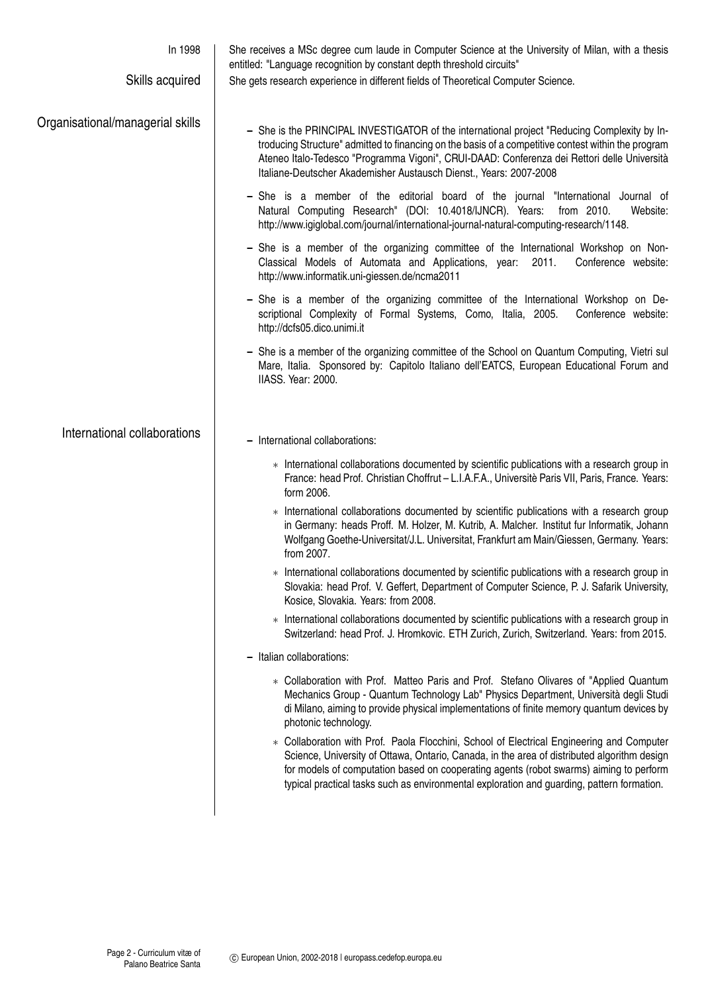| In 1998<br>Skills acquired       | She receives a MSc degree cum laude in Computer Science at the University of Milan, with a thesis<br>entitled: "Language recognition by constant depth threshold circuits"<br>She gets research experience in different fields of Theoretical Computer Science.                                                                                                                  |
|----------------------------------|----------------------------------------------------------------------------------------------------------------------------------------------------------------------------------------------------------------------------------------------------------------------------------------------------------------------------------------------------------------------------------|
| Organisational/managerial skills | - She is the PRINCIPAL INVESTIGATOR of the international project "Reducing Complexity by In-<br>troducing Structure" admitted to financing on the basis of a competitive contest within the program<br>Ateneo Italo-Tedesco "Programma Vigoni", CRUI-DAAD: Conferenza dei Rettori delle Università<br>Italiane-Deutscher Akademisher Austausch Dienst., Years: 2007-2008         |
|                                  | - She is a member of the editorial board of the journal "International Journal of<br>Natural Computing Research" (DOI: 10.4018/IJNCR). Years:<br>from 2010.<br>Website:<br>http://www.igiglobal.com/journal/international-journal-natural-computing-research/1148.                                                                                                               |
|                                  | - She is a member of the organizing committee of the International Workshop on Non-<br>Classical Models of Automata and Applications, year: 2011.<br>Conference website:<br>http://www.informatik.uni-giessen.de/ncma2011                                                                                                                                                        |
|                                  | - She is a member of the organizing committee of the International Workshop on De-<br>scriptional Complexity of Formal Systems, Como, Italia, 2005.<br>Conference website:<br>http://dcfs05.dico.unimi.it                                                                                                                                                                        |
|                                  | - She is a member of the organizing committee of the School on Quantum Computing, Vietri sul<br>Mare, Italia. Sponsored by: Capitolo Italiano dell'EATCS, European Educational Forum and<br>IIASS. Year: 2000.                                                                                                                                                                   |
| International collaborations     | - International collaborations:                                                                                                                                                                                                                                                                                                                                                  |
|                                  | * International collaborations documented by scientific publications with a research group in<br>France: head Prof. Christian Choffrut - L.I.A.F.A., Universitè Paris VII, Paris, France. Years:<br>form 2006.                                                                                                                                                                   |
|                                  | * International collaborations documented by scientific publications with a research group<br>in Germany: heads Proff. M. Holzer, M. Kutrib, A. Malcher. Institut fur Informatik, Johann<br>Wolfgang Goethe-Universitat/J.L. Universitat, Frankfurt am Main/Giessen, Germany. Years:<br>from 2007.                                                                               |
|                                  | * International collaborations documented by scientific publications with a research group in<br>Slovakia: head Prof. V. Geffert, Department of Computer Science, P. J. Safarik University,<br>Kosice, Slovakia. Years: from 2008.                                                                                                                                               |
|                                  | * International collaborations documented by scientific publications with a research group in<br>Switzerland: head Prof. J. Hromkovic. ETH Zurich, Zurich, Switzerland. Years: from 2015.                                                                                                                                                                                        |
|                                  | - Italian collaborations:                                                                                                                                                                                                                                                                                                                                                        |
|                                  | * Collaboration with Prof. Matteo Paris and Prof. Stefano Olivares of "Applied Quantum<br>Mechanics Group - Quantum Technology Lab" Physics Department, Università degli Studi<br>di Milano, aiming to provide physical implementations of finite memory quantum devices by<br>photonic technology.                                                                              |
|                                  | * Collaboration with Prof. Paola Flocchini, School of Electrical Engineering and Computer<br>Science, University of Ottawa, Ontario, Canada, in the area of distributed algorithm design<br>for models of computation based on cooperating agents (robot swarms) aiming to perform<br>typical practical tasks such as environmental exploration and guarding, pattern formation. |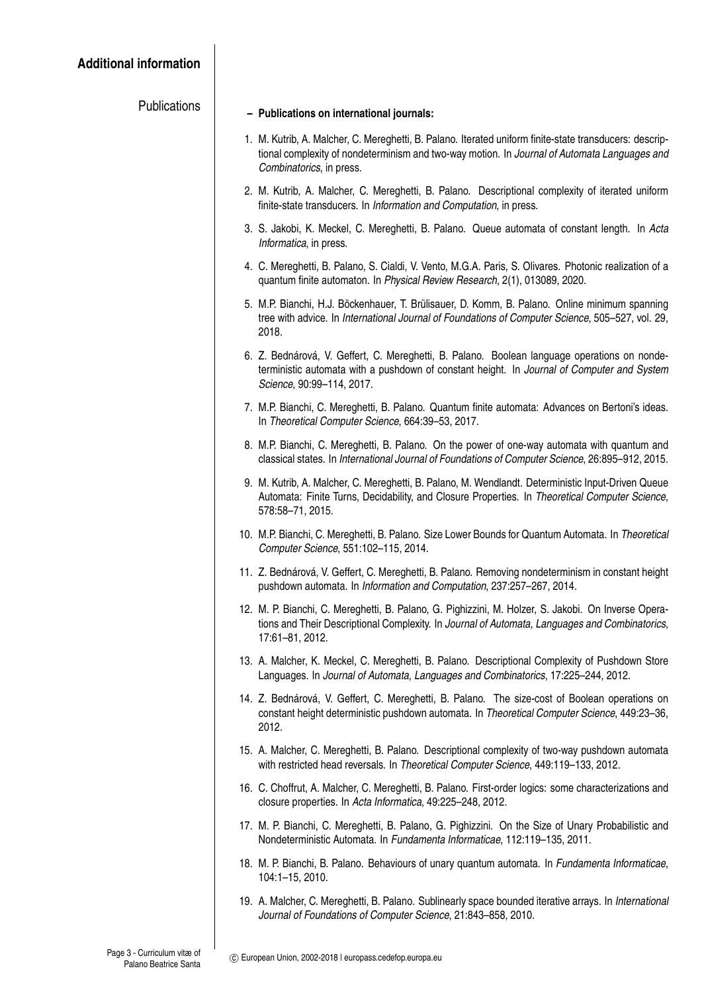| <b>Publications</b> | - Publications on international journals:                                                                                                                                                                                           |
|---------------------|-------------------------------------------------------------------------------------------------------------------------------------------------------------------------------------------------------------------------------------|
|                     | 1. M. Kutrib, A. Malcher, C. Mereghetti, B. Palano. Iterated uniform finite-state transducers: descrip-<br>tional complexity of nondeterminism and two-way motion. In Journal of Automata Languages and<br>Combinatorics, in press. |
|                     | 2. M. Kutrib, A. Malcher, C. Mereghetti, B. Palano. Descriptional complexity of iterated uniform<br>finite-state transducers. In Information and Computation, in press.                                                             |
|                     | 3. S. Jakobi, K. Meckel, C. Mereghetti, B. Palano. Queue automata of constant length. In Acta<br>Informatica, in press.                                                                                                             |
|                     | 4. C. Mereghetti, B. Palano, S. Cialdi, V. Vento, M.G.A. Paris, S. Olivares. Photonic realization of a<br>quantum finite automaton. In Physical Review Research, 2(1), 013089, 2020.                                                |
|                     | 5. M.P. Bianchi, H.J. Böckenhauer, T. Brülisauer, D. Komm, B. Palano. Online minimum spanning<br>tree with advice. In International Journal of Foundations of Computer Science, 505-527, vol. 29,<br>2018.                          |
|                     | 6. Z. Bednárová, V. Geffert, C. Mereghetti, B. Palano. Boolean language operations on nonde-<br>terministic automata with a pushdown of constant height. In Journal of Computer and System<br>Science, 90:99-114, 2017.             |
|                     | 7. M.P. Bianchi, C. Mereghetti, B. Palano. Quantum finite automata: Advances on Bertoni's ideas.<br>In Theoretical Computer Science, 664:39-53, 2017.                                                                               |
|                     | 8. M.P. Bianchi, C. Mereghetti, B. Palano. On the power of one-way automata with quantum and<br>classical states. In International Journal of Foundations of Computer Science, 26:895-912, 2015.                                    |
|                     | 9. M. Kutrib, A. Malcher, C. Mereghetti, B. Palano, M. Wendlandt. Deterministic Input-Driven Queue<br>Automata: Finite Turns, Decidability, and Closure Properties. In Theoretical Computer Science,<br>578:58-71, 2015.            |
|                     | 10. M.P. Bianchi, C. Mereghetti, B. Palano. Size Lower Bounds for Quantum Automata. In Theoretical<br>Computer Science, 551:102-115, 2014.                                                                                          |
|                     | 11. Z. Bednárová, V. Geffert, C. Mereghetti, B. Palano. Removing nondeterminism in constant height<br>pushdown automata. In Information and Computation, 237:257-267, 2014.                                                         |
|                     | 12. M. P. Bianchi, C. Mereghetti, B. Palano, G. Pighizzini, M. Holzer, S. Jakobi. On Inverse Opera-<br>tions and Their Descriptional Complexity. In Journal of Automata, Languages and Combinatorics,<br>17:61-81, 2012.            |
|                     | 13. A. Malcher, K. Meckel, C. Mereghetti, B. Palano. Descriptional Complexity of Pushdown Store<br>Languages. In Journal of Automata, Languages and Combinatorics, 17:225-244, 2012.                                                |
|                     | 14. Z. Bednárová, V. Geffert, C. Mereghetti, B. Palano. The size-cost of Boolean operations on<br>constant height deterministic pushdown automata. In Theoretical Computer Science, 449:23-36,<br>2012.                             |
|                     | 15. A. Malcher, C. Mereghetti, B. Palano. Descriptional complexity of two-way pushdown automata<br>with restricted head reversals. In Theoretical Computer Science, 449:119-133, 2012.                                              |
|                     | 16. C. Choffrut, A. Malcher, C. Mereghetti, B. Palano. First-order logics: some characterizations and<br>closure properties. In Acta Informatica, 49:225-248, 2012.                                                                 |
|                     | 17. M. P. Bianchi, C. Mereghetti, B. Palano, G. Pighizzini. On the Size of Unary Probabilistic and<br>Nondeterministic Automata. In Fundamenta Informaticae, 112:119-135, 2011.                                                     |
|                     | 18. M. P. Bianchi, B. Palano. Behaviours of unary quantum automata. In Fundamenta Informaticae,<br>104:1-15, 2010.                                                                                                                  |
|                     | 19. A. Malcher, C. Mereghetti, B. Palano. Sublinearly space bounded iterative arrays. In International<br>Journal of Foundations of Computer Science, 21:843-858, 2010.                                                             |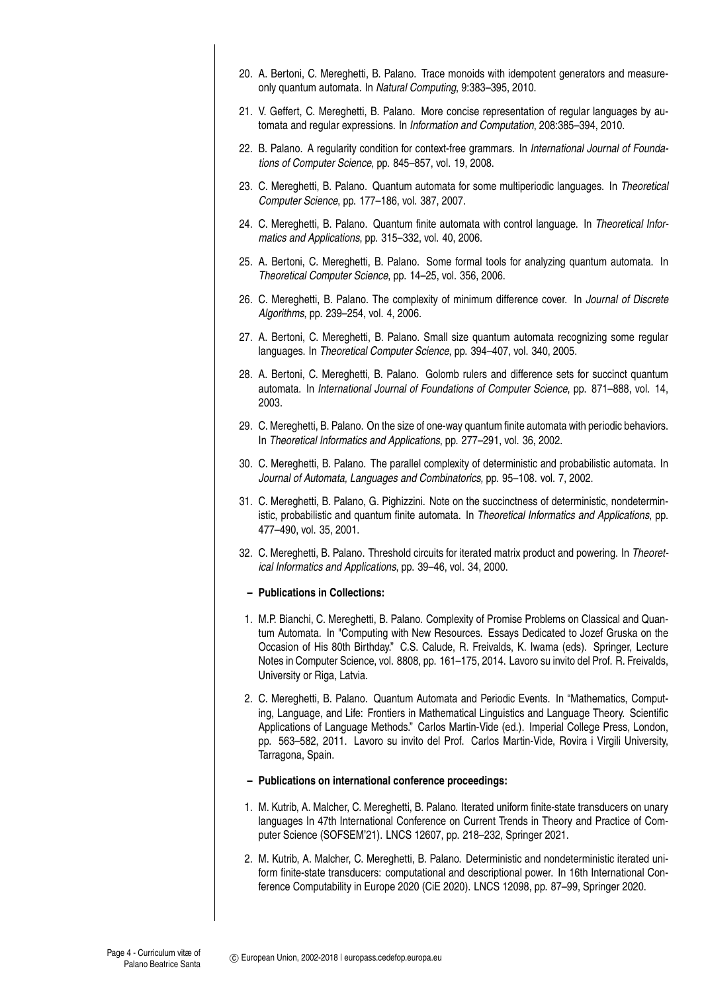- 20. A. Bertoni, C. Mereghetti, B. Palano. Trace monoids with idempotent generators and measureonly quantum automata. In *Natural Computing*, 9:383–395, 2010.
- 21. V. Geffert, C. Mereghetti, B. Palano. More concise representation of regular languages by automata and regular expressions. In *Information and Computation*, 208:385–394, 2010.
- 22. B. Palano. A regularity condition for context-free grammars. In *International Journal of Foundations of Computer Science*, pp. 845–857, vol. 19, 2008.
- 23. C. Mereghetti, B. Palano. Quantum automata for some multiperiodic languages. In *Theoretical Computer Science*, pp. 177–186, vol. 387, 2007.
- 24. C. Mereghetti, B. Palano. Quantum finite automata with control language. In *Theoretical Informatics and Applications*, pp. 315–332, vol. 40, 2006.
- 25. A. Bertoni, C. Mereghetti, B. Palano. Some formal tools for analyzing quantum automata. In *Theoretical Computer Science*, pp. 14–25, vol. 356, 2006.
- 26. C. Mereghetti, B. Palano. The complexity of minimum difference cover. In *Journal of Discrete Algorithms*, pp. 239–254, vol. 4, 2006.
- 27. A. Bertoni, C. Mereghetti, B. Palano. Small size quantum automata recognizing some regular languages. In *Theoretical Computer Science*, pp. 394–407, vol. 340, 2005.
- 28. A. Bertoni, C. Mereghetti, B. Palano. Golomb rulers and difference sets for succinct quantum automata. In *International Journal of Foundations of Computer Science*, pp. 871–888, vol. 14, 2003.
- 29. C. Mereghetti, B. Palano. On the size of one-way quantum finite automata with periodic behaviors. In *Theoretical Informatics and Applications*, pp. 277–291, vol. 36, 2002.
- 30. C. Mereghetti, B. Palano. The parallel complexity of deterministic and probabilistic automata. In *Journal of Automata, Languages and Combinatorics,* pp. 95–108. vol. 7, 2002.
- 31. C. Mereghetti, B. Palano, G. Pighizzini. Note on the succinctness of deterministic, nondeterministic, probabilistic and quantum finite automata. In *Theoretical Informatics and Applications*, pp. 477–490, vol. 35, 2001.
- 32. C. Mereghetti, B. Palano. Threshold circuits for iterated matrix product and powering. In *Theoretical Informatics and Applications*, pp. 39–46, vol. 34, 2000.
	- **Publications in Collections:**
- 1. M.P. Bianchi, C. Mereghetti, B. Palano. Complexity of Promise Problems on Classical and Quantum Automata. In "Computing with New Resources. Essays Dedicated to Jozef Gruska on the Occasion of His 80th Birthday." C.S. Calude, R. Freivalds, K. Iwama (eds). Springer, Lecture Notes in Computer Science, vol. 8808, pp. 161–175, 2014. Lavoro su invito del Prof. R. Freivalds, University or Riga, Latvia.
- 2. C. Mereghetti, B. Palano. Quantum Automata and Periodic Events. In "Mathematics, Computing, Language, and Life: Frontiers in Mathematical Linguistics and Language Theory. Scientific Applications of Language Methods." Carlos Martin-Vide (ed.). Imperial College Press, London, pp. 563–582, 2011. Lavoro su invito del Prof. Carlos Martin-Vide, Rovira i Virgili University, Tarragona, Spain.
- **Publications on international conference proceedings:**
- 1. M. Kutrib, A. Malcher, C. Mereghetti, B. Palano. Iterated uniform finite-state transducers on unary languages In 47th International Conference on Current Trends in Theory and Practice of Computer Science (SOFSEM'21). LNCS 12607, pp. 218–232, Springer 2021.
- 2. M. Kutrib, A. Malcher, C. Mereghetti, B. Palano. Deterministic and nondeterministic iterated uniform finite-state transducers: computational and descriptional power. In 16th International Conference Computability in Europe 2020 (CiE 2020). LNCS 12098, pp. 87–99, Springer 2020.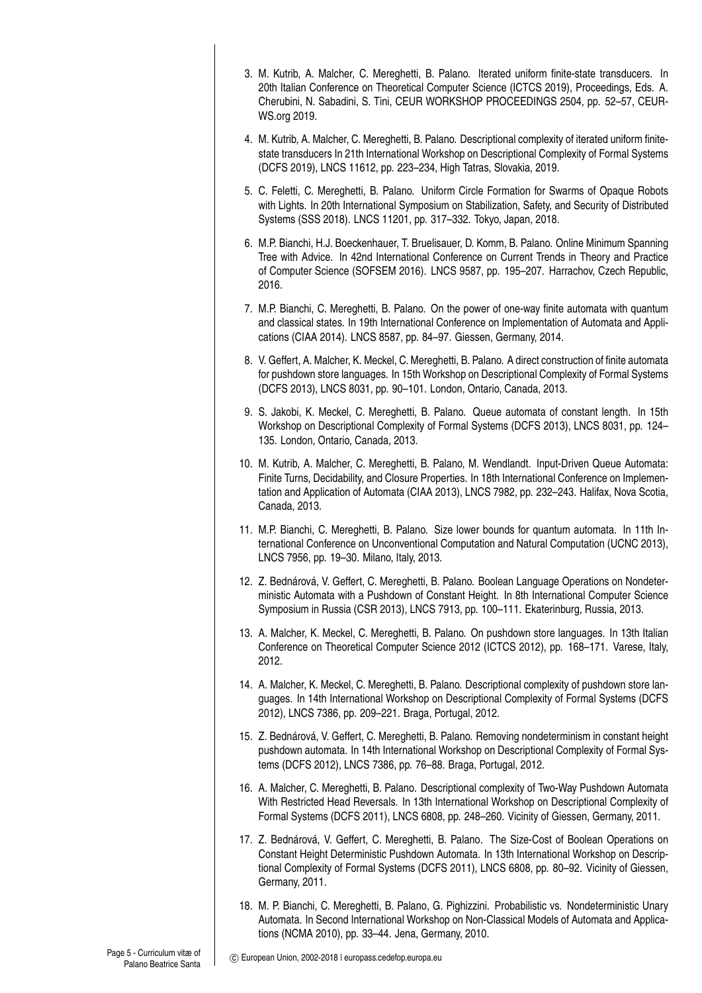- 3. M. Kutrib, A. Malcher, C. Mereghetti, B. Palano. Iterated uniform finite-state transducers. In 20th Italian Conference on Theoretical Computer Science (ICTCS 2019), Proceedings, Eds. A. Cherubini, N. Sabadini, S. Tini, CEUR WORKSHOP PROCEEDINGS 2504, pp. 52–57, CEUR-WS.org 2019.
- 4. M. Kutrib, A. Malcher, C. Mereghetti, B. Palano. Descriptional complexity of iterated uniform finitestate transducers In 21th International Workshop on Descriptional Complexity of Formal Systems (DCFS 2019), LNCS 11612, pp. 223–234, High Tatras, Slovakia, 2019.
- 5. C. Feletti, C. Mereghetti, B. Palano. Uniform Circle Formation for Swarms of Opaque Robots with Lights. In 20th International Symposium on Stabilization, Safety, and Security of Distributed Systems (SSS 2018). LNCS 11201, pp. 317–332. Tokyo, Japan, 2018.
- 6. M.P. Bianchi, H.J. Boeckenhauer, T. Bruelisauer, D. Komm, B. Palano. Online Minimum Spanning Tree with Advice. In 42nd International Conference on Current Trends in Theory and Practice of Computer Science (SOFSEM 2016). LNCS 9587, pp. 195–207. Harrachov, Czech Republic, 2016.
- 7. M.P. Bianchi, C. Mereghetti, B. Palano. On the power of one-way finite automata with quantum and classical states. In 19th International Conference on Implementation of Automata and Applications (CIAA 2014). LNCS 8587, pp. 84–97. Giessen, Germany, 2014.
- 8. V. Geffert, A. Malcher, K. Meckel, C. Mereghetti, B. Palano. A direct construction of finite automata for pushdown store languages. In 15th Workshop on Descriptional Complexity of Formal Systems (DCFS 2013), LNCS 8031, pp. 90–101. London, Ontario, Canada, 2013.
- 9. S. Jakobi, K. Meckel, C. Mereghetti, B. Palano. Queue automata of constant length. In 15th Workshop on Descriptional Complexity of Formal Systems (DCFS 2013), LNCS 8031, pp. 124– 135. London, Ontario, Canada, 2013.
- 10. M. Kutrib, A. Malcher, C. Mereghetti, B. Palano, M. Wendlandt. Input-Driven Queue Automata: Finite Turns, Decidability, and Closure Properties. In 18th International Conference on Implementation and Application of Automata (CIAA 2013), LNCS 7982, pp. 232–243. Halifax, Nova Scotia, Canada, 2013.
- 11. M.P. Bianchi, C. Mereghetti, B. Palano. Size lower bounds for quantum automata. In 11th International Conference on Unconventional Computation and Natural Computation (UCNC 2013), LNCS 7956, pp. 19–30. Milano, Italy, 2013.
- 12. Z. Bednárová, V. Geffert, C. Mereghetti, B. Palano. Boolean Language Operations on Nondeterministic Automata with a Pushdown of Constant Height. In 8th International Computer Science Symposium in Russia (CSR 2013), LNCS 7913, pp. 100–111. Ekaterinburg, Russia, 2013.
- 13. A. Malcher, K. Meckel, C. Mereghetti, B. Palano. On pushdown store languages. In 13th Italian Conference on Theoretical Computer Science 2012 (ICTCS 2012), pp. 168–171. Varese, Italy, 2012.
- 14. A. Malcher, K. Meckel, C. Mereghetti, B. Palano. Descriptional complexity of pushdown store languages. In 14th International Workshop on Descriptional Complexity of Formal Systems (DCFS 2012), LNCS 7386, pp. 209–221. Braga, Portugal, 2012.
- 15. Z. Bednárová, V. Geffert, C. Mereghetti, B. Palano. Removing nondeterminism in constant height pushdown automata. In 14th International Workshop on Descriptional Complexity of Formal Systems (DCFS 2012), LNCS 7386, pp. 76–88. Braga, Portugal, 2012.
- 16. A. Malcher, C. Mereghetti, B. Palano. Descriptional complexity of Two-Way Pushdown Automata With Restricted Head Reversals. In 13th International Workshop on Descriptional Complexity of Formal Systems (DCFS 2011), LNCS 6808, pp. 248–260. Vicinity of Giessen, Germany, 2011.
- 17. Z. Bednárová, V. Geffert, C. Mereghetti, B. Palano. The Size-Cost of Boolean Operations on Constant Height Deterministic Pushdown Automata. In 13th International Workshop on Descriptional Complexity of Formal Systems (DCFS 2011), LNCS 6808, pp. 80–92. Vicinity of Giessen, Germany, 2011.
- 18. M. P. Bianchi, C. Mereghetti, B. Palano, G. Pighizzini. Probabilistic vs. Nondeterministic Unary Automata. In Second International Workshop on Non-Classical Models of Automata and Applications (NCMA 2010), pp. 33–44. Jena, Germany, 2010.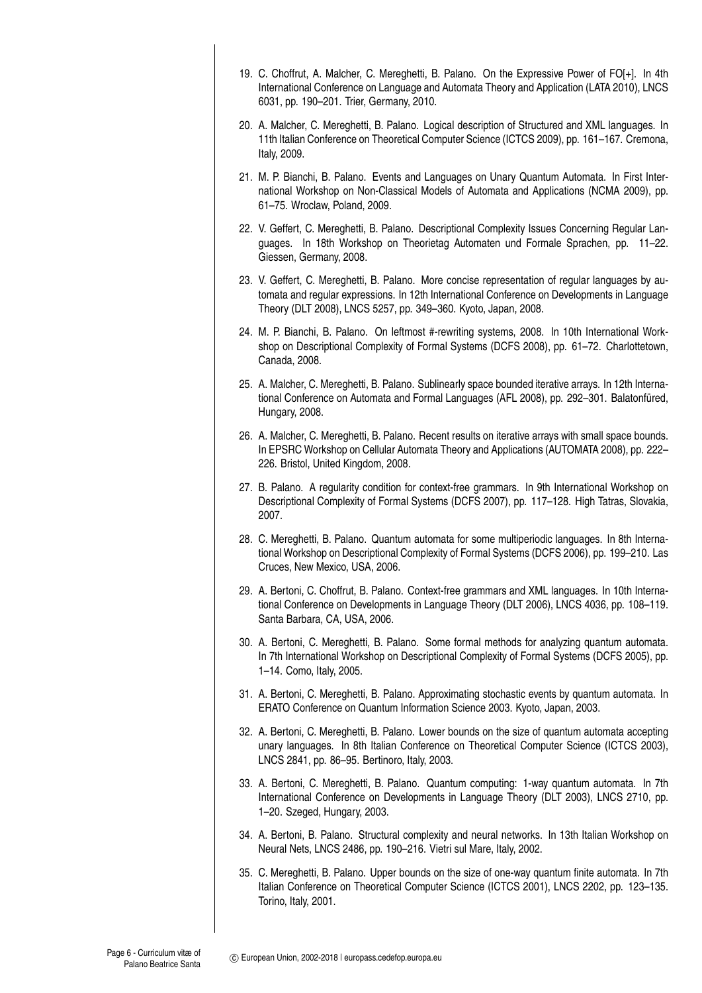- 19. C. Choffrut, A. Malcher, C. Mereghetti, B. Palano. On the Expressive Power of FO[+]. In 4th International Conference on Language and Automata Theory and Application (LATA 2010), LNCS 6031, pp. 190–201. Trier, Germany, 2010.
- 20. A. Malcher, C. Mereghetti, B. Palano. Logical description of Structured and XML languages. In 11th Italian Conference on Theoretical Computer Science (ICTCS 2009), pp. 161–167. Cremona, Italy, 2009.
- 21. M. P. Bianchi, B. Palano. Events and Languages on Unary Quantum Automata. In First International Workshop on Non-Classical Models of Automata and Applications (NCMA 2009), pp. 61–75. Wroclaw, Poland, 2009.
- 22. V. Geffert, C. Mereghetti, B. Palano. Descriptional Complexity Issues Concerning Regular Languages. In 18th Workshop on Theorietag Automaten und Formale Sprachen, pp. 11–22. Giessen, Germany, 2008.
- 23. V. Geffert, C. Mereghetti, B. Palano. More concise representation of regular languages by automata and regular expressions. In 12th International Conference on Developments in Language Theory (DLT 2008), LNCS 5257, pp. 349–360. Kyoto, Japan, 2008.
- 24. M. P. Bianchi, B. Palano. On leftmost #-rewriting systems, 2008. In 10th International Workshop on Descriptional Complexity of Formal Systems (DCFS 2008), pp. 61–72. Charlottetown, Canada, 2008.
- 25. A. Malcher, C. Mereghetti, B. Palano. Sublinearly space bounded iterative arrays. In 12th International Conference on Automata and Formal Languages (AFL 2008), pp. 292–301. Balatonfüred, Hungary, 2008.
- 26. A. Malcher, C. Mereghetti, B. Palano. Recent results on iterative arrays with small space bounds. In EPSRC Workshop on Cellular Automata Theory and Applications (AUTOMATA 2008), pp. 222– 226. Bristol, United Kingdom, 2008.
- 27. B. Palano. A regularity condition for context-free grammars. In 9th International Workshop on Descriptional Complexity of Formal Systems (DCFS 2007), pp. 117–128. High Tatras, Slovakia, 2007.
- 28. C. Mereghetti, B. Palano. Quantum automata for some multiperiodic languages. In 8th International Workshop on Descriptional Complexity of Formal Systems (DCFS 2006), pp. 199–210. Las Cruces, New Mexico, USA, 2006.
- 29. A. Bertoni, C. Choffrut, B. Palano. Context-free grammars and XML languages. In 10th International Conference on Developments in Language Theory (DLT 2006), LNCS 4036, pp. 108–119. Santa Barbara, CA, USA, 2006.
- 30. A. Bertoni, C. Mereghetti, B. Palano. Some formal methods for analyzing quantum automata. In 7th International Workshop on Descriptional Complexity of Formal Systems (DCFS 2005), pp. 1–14. Como, Italy, 2005.
- 31. A. Bertoni, C. Mereghetti, B. Palano. Approximating stochastic events by quantum automata. In ERATO Conference on Quantum Information Science 2003. Kyoto, Japan, 2003.
- 32. A. Bertoni, C. Mereghetti, B. Palano. Lower bounds on the size of quantum automata accepting unary languages. In 8th Italian Conference on Theoretical Computer Science (ICTCS 2003), LNCS 2841, pp. 86–95. Bertinoro, Italy, 2003.
- 33. A. Bertoni, C. Mereghetti, B. Palano. Quantum computing: 1-way quantum automata. In 7th International Conference on Developments in Language Theory (DLT 2003), LNCS 2710, pp. 1–20. Szeged, Hungary, 2003.
- 34. A. Bertoni, B. Palano. Structural complexity and neural networks. In 13th Italian Workshop on Neural Nets, LNCS 2486, pp. 190–216. Vietri sul Mare, Italy, 2002.
- 35. C. Mereghetti, B. Palano. Upper bounds on the size of one-way quantum finite automata. In 7th Italian Conference on Theoretical Computer Science (ICTCS 2001), LNCS 2202, pp. 123–135. Torino, Italy, 2001.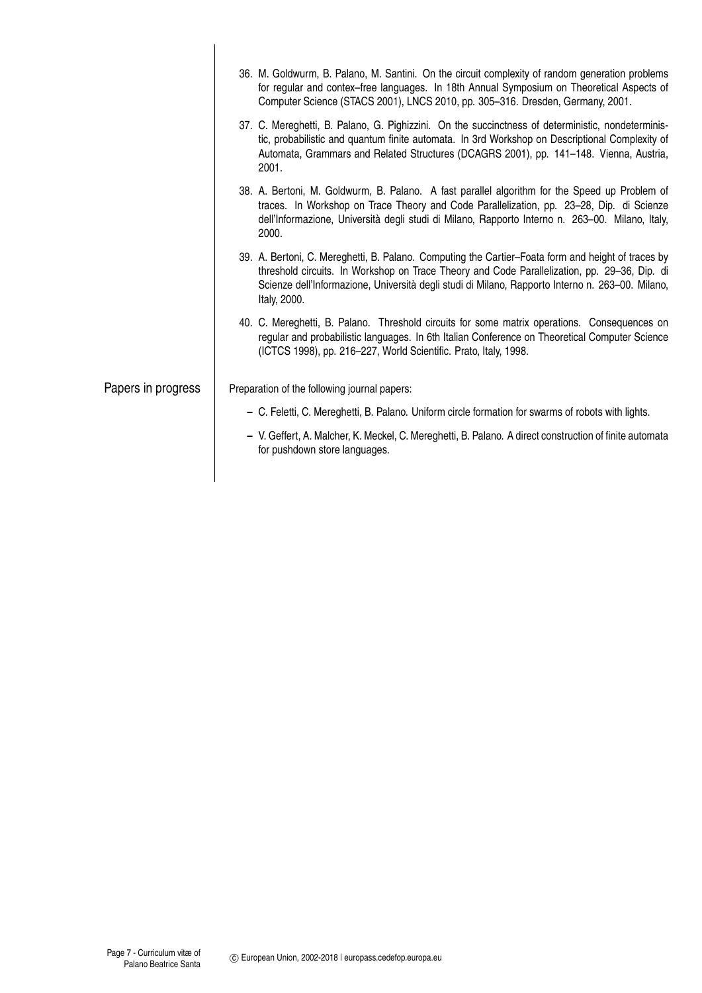|                    | 36. M. Goldwurm, B. Palano, M. Santini. On the circuit complexity of random generation problems<br>for regular and contex–free languages. In 18th Annual Symposium on Theoretical Aspects of<br>Computer Science (STACS 2001), LNCS 2010, pp. 305-316. Dresden, Germany, 2001.                                         |
|--------------------|------------------------------------------------------------------------------------------------------------------------------------------------------------------------------------------------------------------------------------------------------------------------------------------------------------------------|
|                    | 37. C. Mereghetti, B. Palano, G. Pighizzini. On the succinctness of deterministic, nondeterminis-<br>tic, probabilistic and quantum finite automata. In 3rd Workshop on Descriptional Complexity of<br>Automata, Grammars and Related Structures (DCAGRS 2001), pp. 141-148. Vienna, Austria,<br>2001.                 |
|                    | 38. A. Bertoni, M. Goldwurm, B. Palano. A fast parallel algorithm for the Speed up Problem of<br>traces. In Workshop on Trace Theory and Code Parallelization, pp. 23-28, Dip. di Scienze<br>dell'Informazione, Università degli studi di Milano, Rapporto Interno n. 263-00. Milano, Italy,<br>2000.                  |
|                    | 39. A. Bertoni, C. Mereghetti, B. Palano. Computing the Cartier-Foata form and height of traces by<br>threshold circuits. In Workshop on Trace Theory and Code Parallelization, pp. 29-36, Dip. di<br>Scienze dell'Informazione, Università degli studi di Milano, Rapporto Interno n. 263-00. Milano,<br>Italy, 2000. |
|                    | 40. C. Mereghetti, B. Palano. Threshold circuits for some matrix operations. Consequences on<br>regular and probabilistic languages. In 6th Italian Conference on Theoretical Computer Science<br>(ICTCS 1998), pp. 216-227, World Scientific. Prato, Italy, 1998.                                                     |
| Papers in progress | Preparation of the following journal papers:                                                                                                                                                                                                                                                                           |
|                    | - C. Feletti, C. Mereghetti, B. Palano. Uniform circle formation for swarms of robots with lights.                                                                                                                                                                                                                     |
|                    | - V. Geffert, A. Malcher, K. Meckel, C. Mereghetti, B. Palano. A direct construction of finite automata<br>for pushdown store languages.                                                                                                                                                                               |
|                    |                                                                                                                                                                                                                                                                                                                        |

 $\overline{\phantom{a}}$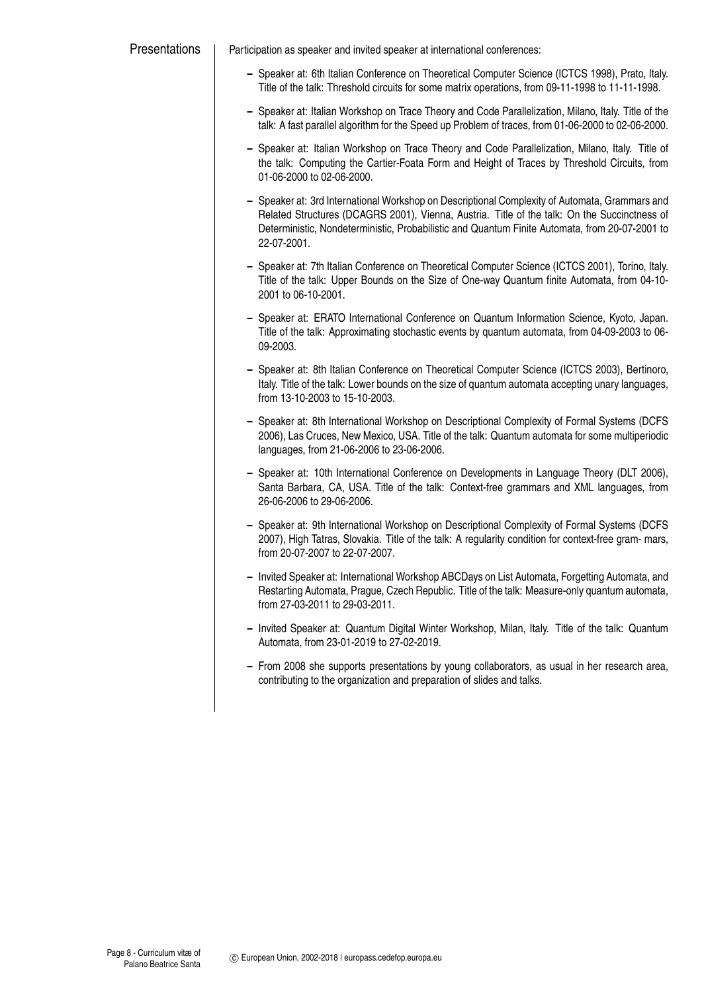| Presentations | Participation as speaker and invited speaker at international conferences:                                                                                                                                                                                                                                      |
|---------------|-----------------------------------------------------------------------------------------------------------------------------------------------------------------------------------------------------------------------------------------------------------------------------------------------------------------|
|               | - Speaker at: 6th Italian Conference on Theoretical Computer Science (ICTCS 1998), Prato, Italy.<br>Title of the talk: Threshold circuits for some matrix operations, from 09-11-1998 to 11-11-1998.                                                                                                            |
|               | - Speaker at: Italian Workshop on Trace Theory and Code Parallelization, Milano, Italy. Title of the<br>talk: A fast parallel algorithm for the Speed up Problem of traces, from 01-06-2000 to 02-06-2000.                                                                                                      |
|               | - Speaker at: Italian Workshop on Trace Theory and Code Parallelization, Milano, Italy. Title of<br>the talk: Computing the Cartier-Foata Form and Height of Traces by Threshold Circuits, from<br>01-06-2000 to 02-06-2000.                                                                                    |
|               | - Speaker at: 3rd International Workshop on Descriptional Complexity of Automata, Grammars and<br>Related Structures (DCAGRS 2001), Vienna, Austria. Title of the talk: On the Succinctness of<br>Deterministic, Nondeterministic, Probabilistic and Quantum Finite Automata, from 20-07-2001 to<br>22-07-2001. |
|               | - Speaker at: 7th Italian Conference on Theoretical Computer Science (ICTCS 2001), Torino, Italy.<br>Title of the talk: Upper Bounds on the Size of One-way Quantum finite Automata, from 04-10-<br>2001 to 06-10-2001.                                                                                         |
|               | - Speaker at: ERATO International Conference on Quantum Information Science, Kyoto, Japan.<br>Title of the talk: Approximating stochastic events by quantum automata, from 04-09-2003 to 06-<br>09-2003.                                                                                                        |
|               | - Speaker at: 8th Italian Conference on Theoretical Computer Science (ICTCS 2003), Bertinoro,<br>Italy. Title of the talk: Lower bounds on the size of quantum automata accepting unary languages,<br>from 13-10-2003 to 15-10-2003.                                                                            |
|               | - Speaker at: 8th International Workshop on Descriptional Complexity of Formal Systems (DCFS<br>2006), Las Cruces, New Mexico, USA. Title of the talk: Quantum automata for some multiperiodic<br>languages, from 21-06-2006 to 23-06-2006.                                                                     |
|               | - Speaker at: 10th International Conference on Developments in Language Theory (DLT 2006),<br>Santa Barbara, CA, USA. Title of the talk: Context-free grammars and XML languages, from<br>26-06-2006 to 29-06-2006.                                                                                             |
|               | - Speaker at: 9th International Workshop on Descriptional Complexity of Formal Systems (DCFS<br>2007), High Tatras, Slovakia. Title of the talk: A regularity condition for context-free gram- mars,<br>from 20-07-2007 to 22-07-2007.                                                                          |
|               | - Invited Speaker at: International Workshop ABCDays on List Automata, Forgetting Automata, and<br>Restarting Automata, Prague, Czech Republic. Title of the talk: Measure-only quantum automata,<br>from 27-03-2011 to 29-03-2011.                                                                             |
|               | - Invited Speaker at: Quantum Digital Winter Workshop, Milan, Italy. Title of the talk: Quantum<br>Automata, from 23-01-2019 to 27-02-2019.                                                                                                                                                                     |
|               | - From 2008 she supports presentations by young collaborators, as usual in her research area,<br>contributing to the organization and preparation of slides and talks.                                                                                                                                          |
|               |                                                                                                                                                                                                                                                                                                                 |
|               |                                                                                                                                                                                                                                                                                                                 |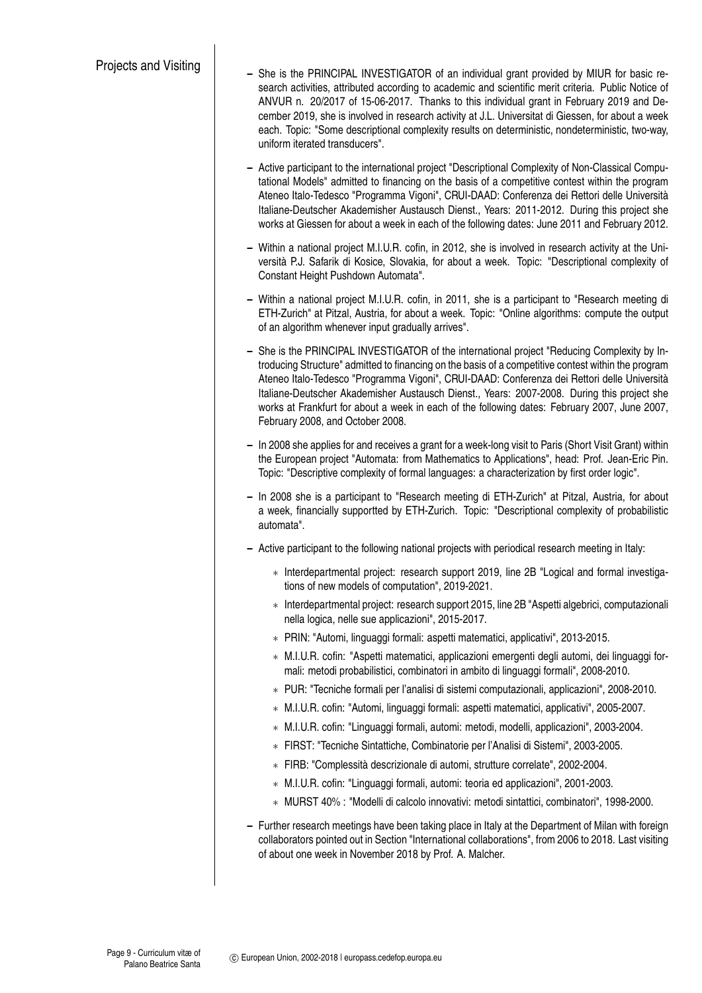- **–** She is the PRINCIPAL INVESTIGATOR of an individual grant provided by MIUR for basic research activities, attributed according to academic and scientific merit criteria. Public Notice of ANVUR n. 20/2017 of 15-06-2017. Thanks to this individual grant in February 2019 and December 2019, she is involved in research activity at J.L. Universitat di Giessen, for about a week each. Topic: "Some descriptional complexity results on deterministic, nondeterministic, two-way, uniform iterated transducers".
	- **–** Active participant to the international project "Descriptional Complexity of Non-Classical Computational Models" admitted to financing on the basis of a competitive contest within the program Ateneo Italo-Tedesco "Programma Vigoni", CRUI-DAAD: Conferenza dei Rettori delle Università Italiane-Deutscher Akademisher Austausch Dienst., Years: 2011-2012. During this project she works at Giessen for about a week in each of the following dates: June 2011 and February 2012.
	- **–** Within a national project M.I.U.R. cofin, in 2012, she is involved in research activity at the Università P.J. Safarik di Kosice, Slovakia, for about a week. Topic: "Descriptional complexity of Constant Height Pushdown Automata".
	- **–** Within a national project M.I.U.R. cofin, in 2011, she is a participant to "Research meeting di ETH-Zurich" at Pitzal, Austria, for about a week. Topic: "Online algorithms: compute the output of an algorithm whenever input gradually arrives".
	- **–** She is the PRINCIPAL INVESTIGATOR of the international project "Reducing Complexity by Introducing Structure" admitted to financing on the basis of a competitive contest within the program Ateneo Italo-Tedesco "Programma Vigoni", CRUI-DAAD: Conferenza dei Rettori delle Università Italiane-Deutscher Akademisher Austausch Dienst., Years: 2007-2008. During this project she works at Frankfurt for about a week in each of the following dates: February 2007, June 2007, February 2008, and October 2008.
	- **–** In 2008 she applies for and receives a grant for a week-long visit to Paris (Short Visit Grant) within the European project "Automata: from Mathematics to Applications", head: Prof. Jean-Eric Pin. Topic: "Descriptive complexity of formal languages: a characterization by first order logic".
	- **–** In 2008 she is a participant to "Research meeting di ETH-Zurich" at Pitzal, Austria, for about a week, financially supportted by ETH-Zurich. Topic: "Descriptional complexity of probabilistic automata".
	- **–** Active participant to the following national projects with periodical research meeting in Italy:
		- ∗ Interdepartmental project: research support 2019, line 2B "Logical and formal investigations of new models of computation", 2019-2021.
		- ∗ Interdepartmental project: research support 2015, line 2B "Aspetti algebrici, computazionali nella logica, nelle sue applicazioni", 2015-2017.
		- ∗ PRIN: "Automi, linguaggi formali: aspetti matematici, applicativi", 2013-2015.
		- ∗ M.I.U.R. cofin: "Aspetti matematici, applicazioni emergenti degli automi, dei linguaggi formali: metodi probabilistici, combinatori in ambito di linguaggi formali", 2008-2010.
		- ∗ PUR: "Tecniche formali per l'analisi di sistemi computazionali, applicazioni", 2008-2010.
		- ∗ M.I.U.R. cofin: "Automi, linguaggi formali: aspetti matematici, applicativi", 2005-2007.
		- ∗ M.I.U.R. cofin: "Linguaggi formali, automi: metodi, modelli, applicazioni", 2003-2004.
		- ∗ FIRST: "Tecniche Sintattiche, Combinatorie per l'Analisi di Sistemi", 2003-2005.
		- ∗ FIRB: "Complessità descrizionale di automi, strutture correlate", 2002-2004.
		- ∗ M.I.U.R. cofin: "Linguaggi formali, automi: teoria ed applicazioni", 2001-2003.
		- ∗ MURST 40% : "Modelli di calcolo innovativi: metodi sintattici, combinatori", 1998-2000.
	- **–** Further research meetings have been taking place in Italy at the Department of Milan with foreign collaborators pointed out in Section "International collaborations", from 2006 to 2018. Last visiting of about one week in November 2018 by Prof. A. Malcher.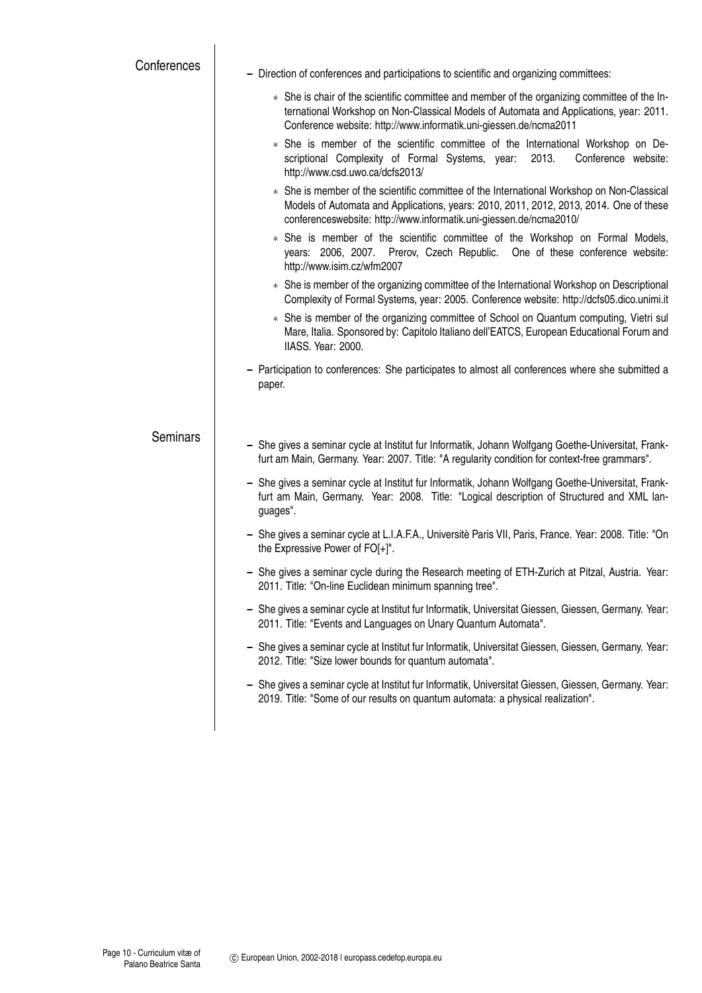| Conferences     | - Direction of conferences and participations to scientific and organizing committees:                                                                                                                                                                      |
|-----------------|-------------------------------------------------------------------------------------------------------------------------------------------------------------------------------------------------------------------------------------------------------------|
|                 | * She is chair of the scientific committee and member of the organizing committee of the In-<br>ternational Workshop on Non-Classical Models of Automata and Applications, year: 2011.<br>Conference website: http://www.informatik.uni-giessen.de/ncma2011 |
|                 | * She is member of the scientific committee of the International Workshop on De-<br>scriptional Complexity of Formal Systems, year:<br>2013.<br>Conference website:<br>http://www.csd.uwo.ca/dcfs2013/                                                      |
|                 | * She is member of the scientific committee of the International Workshop on Non-Classical<br>Models of Automata and Applications, years: 2010, 2011, 2012, 2013, 2014. One of these<br>conferenceswebsite: http://www.informatik.uni-giessen.de/ncma2010/  |
|                 | * She is member of the scientific committee of the Workshop on Formal Models,<br>years: 2006, 2007. Prerov, Czech Republic. One of these conference website:<br>http://www.isim.cz/wfm2007                                                                  |
|                 | * She is member of the organizing committee of the International Workshop on Descriptional<br>Complexity of Formal Systems, year: 2005. Conference website: http://dcfs05.dico.unimi.it                                                                     |
|                 | * She is member of the organizing committee of School on Quantum computing, Vietri sul<br>Mare, Italia. Sponsored by: Capitolo Italiano dell'EATCS, European Educational Forum and<br>IIASS. Year: 2000.                                                    |
|                 | - Participation to conferences: She participates to almost all conferences where she submitted a<br>paper.                                                                                                                                                  |
| <b>Seminars</b> | - She gives a seminar cycle at Institut fur Informatik, Johann Wolfgang Goethe-Universitat, Frank-<br>furt am Main, Germany. Year: 2007. Title: "A regularity condition for context-free grammars".                                                         |
|                 | - She gives a seminar cycle at Institut fur Informatik, Johann Wolfgang Goethe-Universitat, Frank-<br>furt am Main, Germany. Year: 2008. Title: "Logical description of Structured and XML lan-<br>guages".                                                 |
|                 | - She gives a seminar cycle at L.I.A.F.A., Universitè Paris VII, Paris, France. Year: 2008. Title: "On<br>the Expressive Power of FO[+]".                                                                                                                   |
|                 | - She gives a seminar cycle during the Research meeting of ETH-Zurich at Pitzal, Austria. Year:<br>2011. Title: "On-line Euclidean minimum spanning tree".                                                                                                  |
|                 | - She gives a seminar cycle at Institut fur Informatik, Universitat Giessen, Giessen, Germany. Year:<br>2011. Title: "Events and Languages on Unary Quantum Automata".                                                                                      |
|                 | - She gives a seminar cycle at Institut fur Informatik, Universitat Giessen, Giessen, Germany. Year:<br>2012. Title: "Size lower bounds for quantum automata".                                                                                              |
|                 | - She gives a seminar cycle at Institut fur Informatik, Universitat Giessen, Giessen, Germany. Year:<br>2019. Title: "Some of our results on quantum automata: a physical realization".                                                                     |
|                 |                                                                                                                                                                                                                                                             |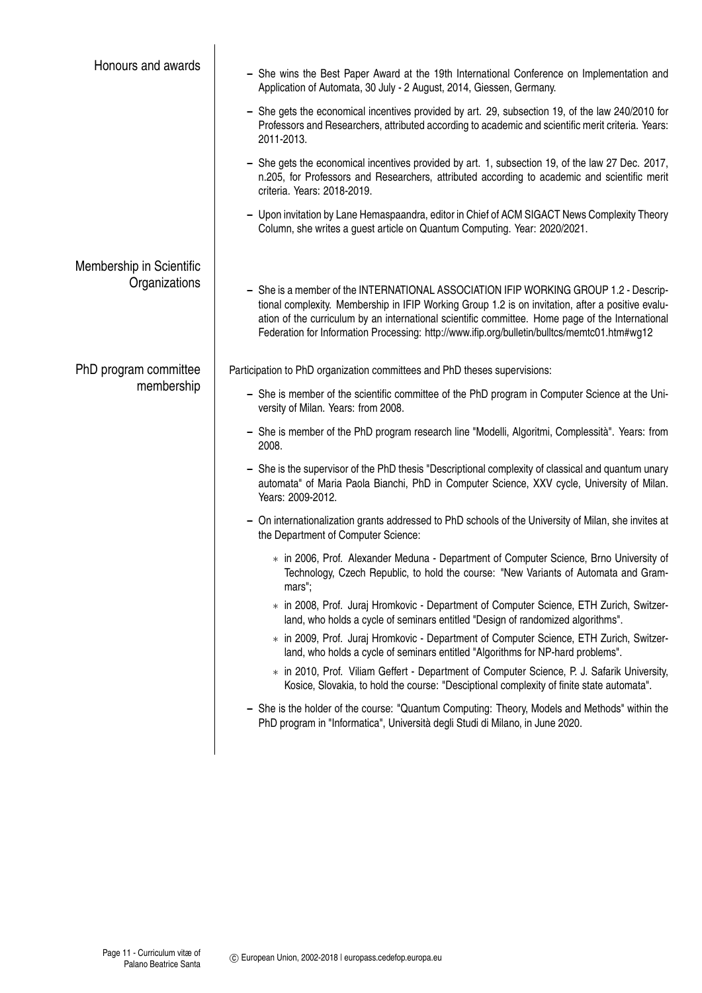| Honours and awards       | - She wins the Best Paper Award at the 19th International Conference on Implementation and<br>Application of Automata, 30 July - 2 August, 2014, Giessen, Germany.                                                                                                                                                                                                                            |
|--------------------------|-----------------------------------------------------------------------------------------------------------------------------------------------------------------------------------------------------------------------------------------------------------------------------------------------------------------------------------------------------------------------------------------------|
|                          | - She gets the economical incentives provided by art. 29, subsection 19, of the law 240/2010 for<br>Professors and Researchers, attributed according to academic and scientific merit criteria. Years:<br>2011-2013.                                                                                                                                                                          |
|                          | - She gets the economical incentives provided by art. 1, subsection 19, of the law 27 Dec. 2017,<br>n.205, for Professors and Researchers, attributed according to academic and scientific merit<br>criteria. Years: 2018-2019.                                                                                                                                                               |
|                          | - Upon invitation by Lane Hemaspaandra, editor in Chief of ACM SIGACT News Complexity Theory<br>Column, she writes a guest article on Quantum Computing. Year: 2020/2021.                                                                                                                                                                                                                     |
| Membership in Scientific |                                                                                                                                                                                                                                                                                                                                                                                               |
| Organizations            | - She is a member of the INTERNATIONAL ASSOCIATION IFIP WORKING GROUP 1.2 - Descrip-<br>tional complexity. Membership in IFIP Working Group 1.2 is on invitation, after a positive evalu-<br>ation of the curriculum by an international scientific committee. Home page of the International<br>Federation for Information Processing: http://www.ifip.org/bulletin/bulltcs/memtc01.htm#wg12 |
| PhD program committee    | Participation to PhD organization committees and PhD theses supervisions:                                                                                                                                                                                                                                                                                                                     |
| membership               | - She is member of the scientific committee of the PhD program in Computer Science at the Uni-<br>versity of Milan. Years: from 2008.                                                                                                                                                                                                                                                         |
|                          | - She is member of the PhD program research line "Modelli, Algoritmi, Complessità". Years: from<br>2008.                                                                                                                                                                                                                                                                                      |
|                          | - She is the supervisor of the PhD thesis "Descriptional complexity of classical and quantum unary<br>automata" of Maria Paola Bianchi, PhD in Computer Science, XXV cycle, University of Milan.<br>Years: 2009-2012.                                                                                                                                                                         |
|                          | - On internationalization grants addressed to PhD schools of the University of Milan, she invites at<br>the Department of Computer Science:                                                                                                                                                                                                                                                   |
|                          | * in 2006, Prof. Alexander Meduna - Department of Computer Science, Brno University of<br>Technology, Czech Republic, to hold the course: "New Variants of Automata and Gram-<br>mars";                                                                                                                                                                                                       |
|                          | * in 2008, Prof. Juraj Hromkovic - Department of Computer Science, ETH Zurich, Switzer-<br>land, who holds a cycle of seminars entitled "Design of randomized algorithms".                                                                                                                                                                                                                    |
|                          | * in 2009, Prof. Juraj Hromkovic - Department of Computer Science, ETH Zurich, Switzer-<br>land, who holds a cycle of seminars entitled "Algorithms for NP-hard problems".                                                                                                                                                                                                                    |
|                          | * in 2010, Prof. Viliam Geffert - Department of Computer Science, P. J. Safarik University,<br>Kosice, Slovakia, to hold the course: "Desciptional complexity of finite state automata".                                                                                                                                                                                                      |
|                          | She is the holder of the course: "Quantum Computing: Theory, Models and Methods" within the<br>PhD program in "Informatica", Università degli Studi di Milano, in June 2020.                                                                                                                                                                                                                  |
|                          |                                                                                                                                                                                                                                                                                                                                                                                               |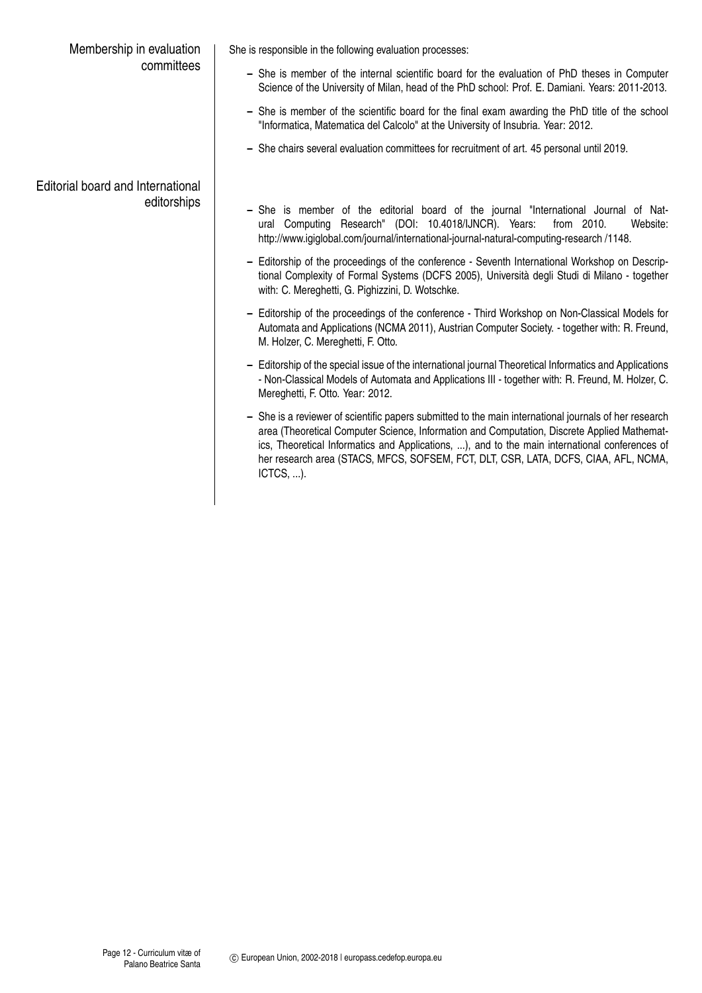## Membership in evaluation committees

Editorial board and International editorships She is responsible in the following evaluation processes:

- **–** She is member of the internal scientific board for the evaluation of PhD theses in Computer Science of the University of Milan, head of the PhD school: Prof. E. Damiani. Years: 2011-2013.
- **–** She is member of the scientific board for the final exam awarding the PhD title of the school "Informatica, Matematica del Calcolo" at the University of Insubria. Year: 2012.
- **–** She chairs several evaluation committees for recruitment of art. 45 personal until 2019.
- **–** She is member of the editorial board of the journal "International Journal of Natural Computing Research" (DOI: 10.4018/IJNCR). Years: from 2010. Website: http://www.igiglobal.com/journal/international-journal-natural-computing-research /1148.
- **–** Editorship of the proceedings of the conference Seventh International Workshop on Descriptional Complexity of Formal Systems (DCFS 2005), Università degli Studi di Milano - together with: C. Mereghetti, G. Pighizzini, D. Wotschke.
- **–** Editorship of the proceedings of the conference Third Workshop on Non-Classical Models for Automata and Applications (NCMA 2011), Austrian Computer Society. - together with: R. Freund, M. Holzer, C. Mereghetti, F. Otto.
- **–** Editorship of the special issue of the international journal Theoretical Informatics and Applications - Non-Classical Models of Automata and Applications III - together with: R. Freund, M. Holzer, C. Mereghetti, F. Otto. Year: 2012.
- **–** She is a reviewer of scientific papers submitted to the main international journals of her research area (Theoretical Computer Science, Information and Computation, Discrete Applied Mathematics, Theoretical Informatics and Applications, ...), and to the main international conferences of her research area (STACS, MFCS, SOFSEM, FCT, DLT, CSR, LATA, DCFS, CIAA, AFL, NCMA, ICTCS, ...).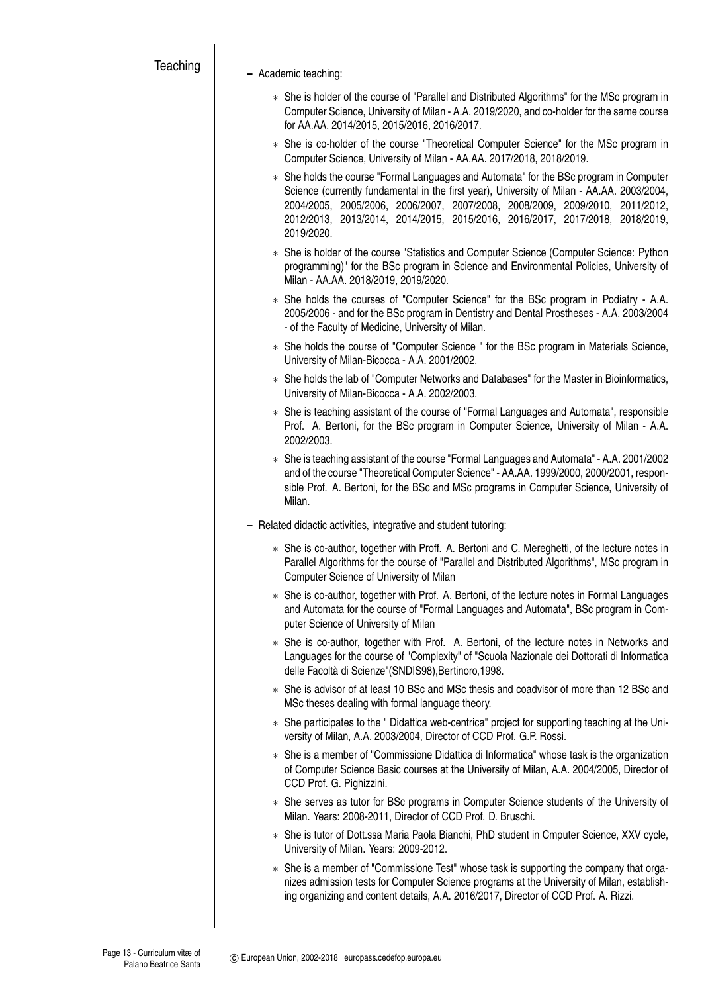## **–** Academic teaching:

- ∗ She is holder of the course of "Parallel and Distributed Algorithms" for the MSc program in Computer Science, University of Milan - A.A. 2019/2020, and co-holder for the same course for AA.AA. 2014/2015, 2015/2016, 2016/2017.
- ∗ She is co-holder of the course "Theoretical Computer Science" for the MSc program in Computer Science, University of Milan - AA.AA. 2017/2018, 2018/2019.
- ∗ She holds the course "Formal Languages and Automata" for the BSc program in Computer Science (currently fundamental in the first year), University of Milan - AA.AA. 2003/2004, 2004/2005, 2005/2006, 2006/2007, 2007/2008, 2008/2009, 2009/2010, 2011/2012, 2012/2013, 2013/2014, 2014/2015, 2015/2016, 2016/2017, 2017/2018, 2018/2019, 2019/2020.
- ∗ She is holder of the course "Statistics and Computer Science (Computer Science: Python programming)" for the BSc program in Science and Environmental Policies, University of Milan - AA.AA. 2018/2019, 2019/2020.
- ∗ She holds the courses of "Computer Science" for the BSc program in Podiatry A.A. 2005/2006 - and for the BSc program in Dentistry and Dental Prostheses - A.A. 2003/2004 - of the Faculty of Medicine, University of Milan.
- ∗ She holds the course of "Computer Science " for the BSc program in Materials Science, University of Milan-Bicocca - A.A. 2001/2002.
- ∗ She holds the lab of "Computer Networks and Databases" for the Master in Bioinformatics, University of Milan-Bicocca - A.A. 2002/2003.
- ∗ She is teaching assistant of the course of "Formal Languages and Automata", responsible Prof. A. Bertoni, for the BSc program in Computer Science, University of Milan - A.A. 2002/2003.
- ∗ She is teaching assistant of the course "Formal Languages and Automata" A.A. 2001/2002 and of the course "Theoretical Computer Science" - AA.AA. 1999/2000, 2000/2001, responsible Prof. A. Bertoni, for the BSc and MSc programs in Computer Science, University of Milan.
- **–** Related didactic activities, integrative and student tutoring:
	- ∗ She is co-author, together with Proff. A. Bertoni and C. Mereghetti, of the lecture notes in Parallel Algorithms for the course of "Parallel and Distributed Algorithms", MSc program in Computer Science of University of Milan
	- ∗ She is co-author, together with Prof. A. Bertoni, of the lecture notes in Formal Languages and Automata for the course of "Formal Languages and Automata", BSc program in Computer Science of University of Milan
	- ∗ She is co-author, together with Prof. A. Bertoni, of the lecture notes in Networks and Languages for the course of "Complexity" of "Scuola Nazionale dei Dottorati di Informatica delle Facoltà di Scienze"(SNDIS98),Bertinoro,1998.
	- ∗ She is advisor of at least 10 BSc and MSc thesis and coadvisor of more than 12 BSc and MSc theses dealing with formal language theory.
	- ∗ She participates to the " Didattica web-centrica" project for supporting teaching at the University of Milan, A.A. 2003/2004, Director of CCD Prof. G.P. Rossi.
	- ∗ She is a member of "Commissione Didattica di Informatica" whose task is the organization of Computer Science Basic courses at the University of Milan, A.A. 2004/2005, Director of CCD Prof. G. Pighizzini.
	- ∗ She serves as tutor for BSc programs in Computer Science students of the University of Milan. Years: 2008-2011, Director of CCD Prof. D. Bruschi.
	- ∗ She is tutor of Dott.ssa Maria Paola Bianchi, PhD student in Cmputer Science, XXV cycle, University of Milan. Years: 2009-2012.
	- ∗ She is a member of "Commissione Test" whose task is supporting the company that organizes admission tests for Computer Science programs at the University of Milan, establishing organizing and content details, A.A. 2016/2017, Director of CCD Prof. A. Rizzi.